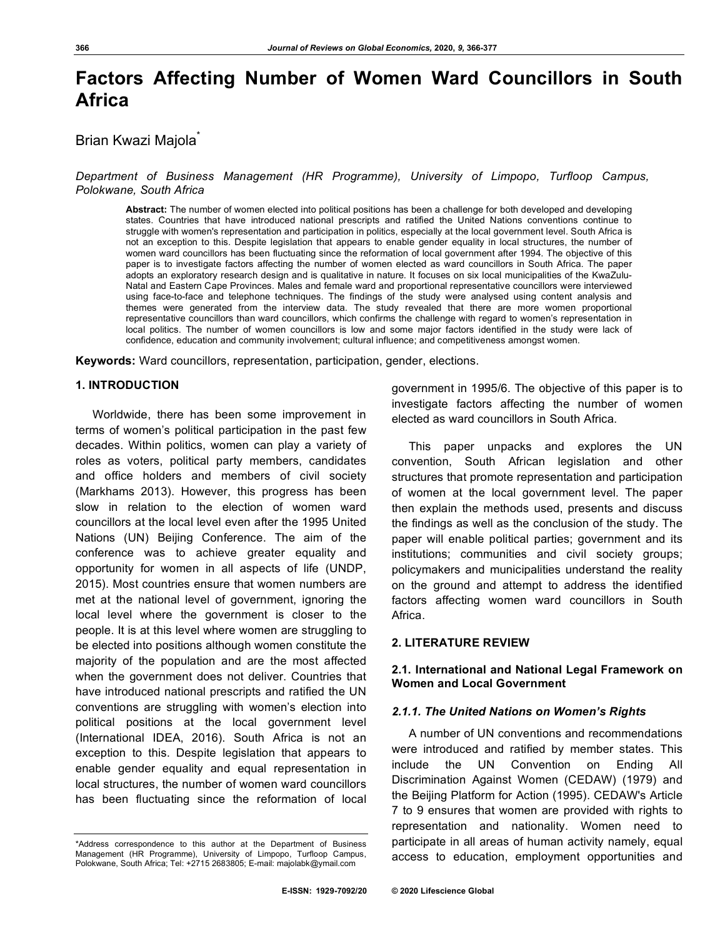# **Factors Affecting Number of Women Ward Councillors in South Africa**

Brian Kwazi Majola<sup>\*</sup>

*Department of Business Management (HR Programme), University of Limpopo, Turfloop Campus, Polokwane, South Africa*

**Abstract:** The number of women elected into political positions has been a challenge for both developed and developing states. Countries that have introduced national prescripts and ratified the United Nations conventions continue to struggle with women's representation and participation in politics, especially at the local government level. South Africa is not an exception to this. Despite legislation that appears to enable gender equality in local structures, the number of women ward councillors has been fluctuating since the reformation of local government after 1994. The objective of this paper is to investigate factors affecting the number of women elected as ward councillors in South Africa. The paper adopts an exploratory research design and is qualitative in nature. It focuses on six local municipalities of the KwaZulu-Natal and Eastern Cape Provinces. Males and female ward and proportional representative councillors were interviewed using face-to-face and telephone techniques. The findings of the study were analysed using content analysis and themes were generated from the interview data. The study revealed that there are more women proportional representative councillors than ward councillors, which confirms the challenge with regard to women's representation in local politics. The number of women councillors is low and some major factors identified in the study were lack of confidence, education and community involvement; cultural influence; and competitiveness amongst women.

**Keywords:** Ward councillors, representation, participation, gender, elections.

### **1. INTRODUCTION**

Worldwide, there has been some improvement in terms of women's political participation in the past few decades. Within politics, women can play a variety of roles as voters, political party members, candidates and office holders and members of civil society (Markhams 2013). However, this progress has been slow in relation to the election of women ward councillors at the local level even after the 1995 United Nations (UN) Beijing Conference. The aim of the conference was to achieve greater equality and opportunity for women in all aspects of life (UNDP, 2015). Most countries ensure that women numbers are met at the national level of government, ignoring the local level where the government is closer to the people. It is at this level where women are struggling to be elected into positions although women constitute the majority of the population and are the most affected when the government does not deliver. Countries that have introduced national prescripts and ratified the UN conventions are struggling with women's election into political positions at the local government level (International IDEA, 2016). South Africa is not an exception to this. Despite legislation that appears to enable gender equality and equal representation in local structures, the number of women ward councillors has been fluctuating since the reformation of local

government in 1995/6. The objective of this paper is to investigate factors affecting the number of women elected as ward councillors in South Africa.

This paper unpacks and explores the UN convention, South African legislation and other structures that promote representation and participation of women at the local government level. The paper then explain the methods used, presents and discuss the findings as well as the conclusion of the study. The paper will enable political parties; government and its institutions; communities and civil society groups; policymakers and municipalities understand the reality on the ground and attempt to address the identified factors affecting women ward councillors in South Africa.

### **2. LITERATURE REVIEW**

# **2.1. International and National Legal Framework on Women and Local Government**

### *2.1.1. The United Nations on Women's Rights*

A number of UN conventions and recommendations were introduced and ratified by member states. This include the UN Convention on Ending All Discrimination Against Women (CEDAW) (1979) and the Beijing Platform for Action (1995). CEDAW's Article 7 to 9 ensures that women are provided with rights to representation and nationality. Women need to participate in all areas of human activity namely, equal access to education, employment opportunities and

<sup>\*</sup>Address correspondence to this author at the Department of Business Management (HR Programme), University of Limpopo, Turfloop Campus, Polokwane, South Africa; Tel: +2715 2683805; E-mail: majolabk@ymail.com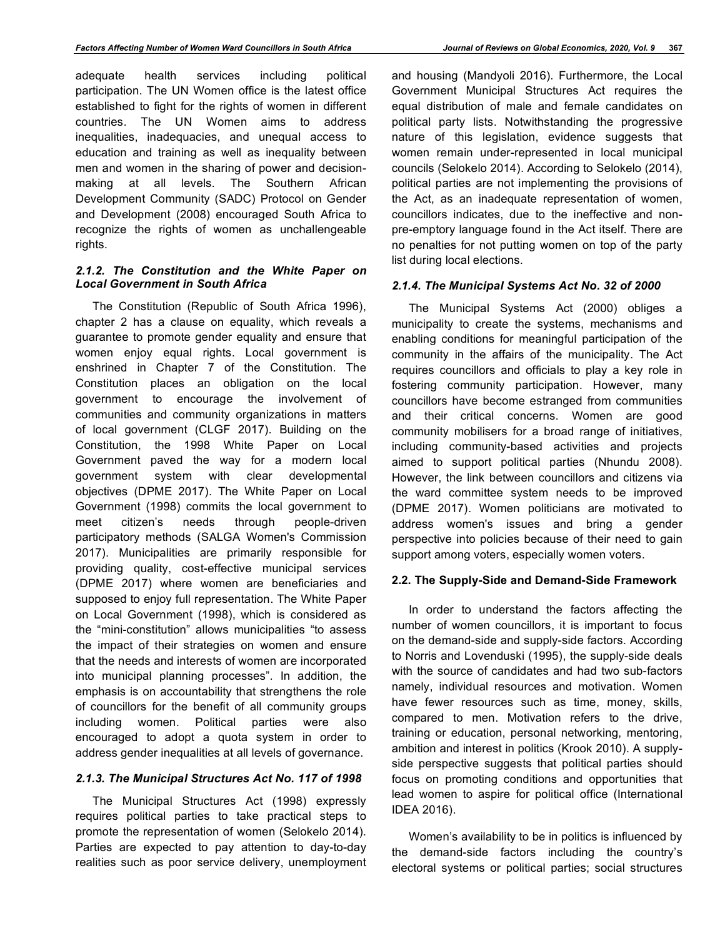adequate health services including political participation. The UN Women office is the latest office established to fight for the rights of women in different countries. The UN Women aims to address inequalities, inadequacies, and unequal access to education and training as well as inequality between men and women in the sharing of power and decisionmaking at all levels. The Southern African Development Community (SADC) Protocol on Gender and Development (2008) encouraged South Africa to recognize the rights of women as unchallengeable rights.

# *2.1.2. The Constitution and the White Paper on Local Government in South Africa*

The Constitution (Republic of South Africa 1996), chapter 2 has a clause on equality, which reveals a guarantee to promote gender equality and ensure that women enjoy equal rights. Local government is enshrined in Chapter 7 of the Constitution. The Constitution places an obligation on the local government to encourage the involvement of communities and community organizations in matters of local government (CLGF 2017). Building on the Constitution, the 1998 White Paper on Local Government paved the way for a modern local government system with clear developmental objectives (DPME 2017). The White Paper on Local Government (1998) commits the local government to meet citizen's needs through people-driven participatory methods (SALGA Women's Commission 2017). Municipalities are primarily responsible for providing quality, cost-effective municipal services (DPME 2017) where women are beneficiaries and supposed to enjoy full representation. The White Paper on Local Government (1998), which is considered as the "mini-constitution" allows municipalities "to assess the impact of their strategies on women and ensure that the needs and interests of women are incorporated into municipal planning processes". In addition, the emphasis is on accountability that strengthens the role of councillors for the benefit of all community groups including women. Political parties were also encouraged to adopt a quota system in order to address gender inequalities at all levels of governance.

# *2.1.3. The Municipal Structures Act No. 117 of 1998*

The Municipal Structures Act (1998) expressly requires political parties to take practical steps to promote the representation of women (Selokelo 2014). Parties are expected to pay attention to day-to-day realities such as poor service delivery, unemployment and housing (Mandyoli 2016). Furthermore, the Local Government Municipal Structures Act requires the equal distribution of male and female candidates on political party lists. Notwithstanding the progressive nature of this legislation, evidence suggests that women remain under-represented in local municipal councils (Selokelo 2014). According to Selokelo (2014), political parties are not implementing the provisions of the Act, as an inadequate representation of women, councillors indicates, due to the ineffective and nonpre-emptory language found in the Act itself. There are no penalties for not putting women on top of the party list during local elections.

# *2.1.4. The Municipal Systems Act No. 32 of 2000*

The Municipal Systems Act (2000) obliges a municipality to create the systems, mechanisms and enabling conditions for meaningful participation of the community in the affairs of the municipality. The Act requires councillors and officials to play a key role in fostering community participation. However, many councillors have become estranged from communities and their critical concerns. Women are good community mobilisers for a broad range of initiatives, including community-based activities and projects aimed to support political parties (Nhundu 2008). However, the link between councillors and citizens via the ward committee system needs to be improved (DPME 2017). Women politicians are motivated to address women's issues and bring a gender perspective into policies because of their need to gain support among voters, especially women voters.

# **2.2. The Supply-Side and Demand-Side Framework**

In order to understand the factors affecting the number of women councillors, it is important to focus on the demand-side and supply-side factors. According to Norris and Lovenduski (1995), the supply-side deals with the source of candidates and had two sub-factors namely, individual resources and motivation. Women have fewer resources such as time, money, skills, compared to men. Motivation refers to the drive, training or education, personal networking, mentoring, ambition and interest in politics (Krook 2010). A supplyside perspective suggests that political parties should focus on promoting conditions and opportunities that lead women to aspire for political office (International IDEA 2016).

Women's availability to be in politics is influenced by the demand-side factors including the country's electoral systems or political parties; social structures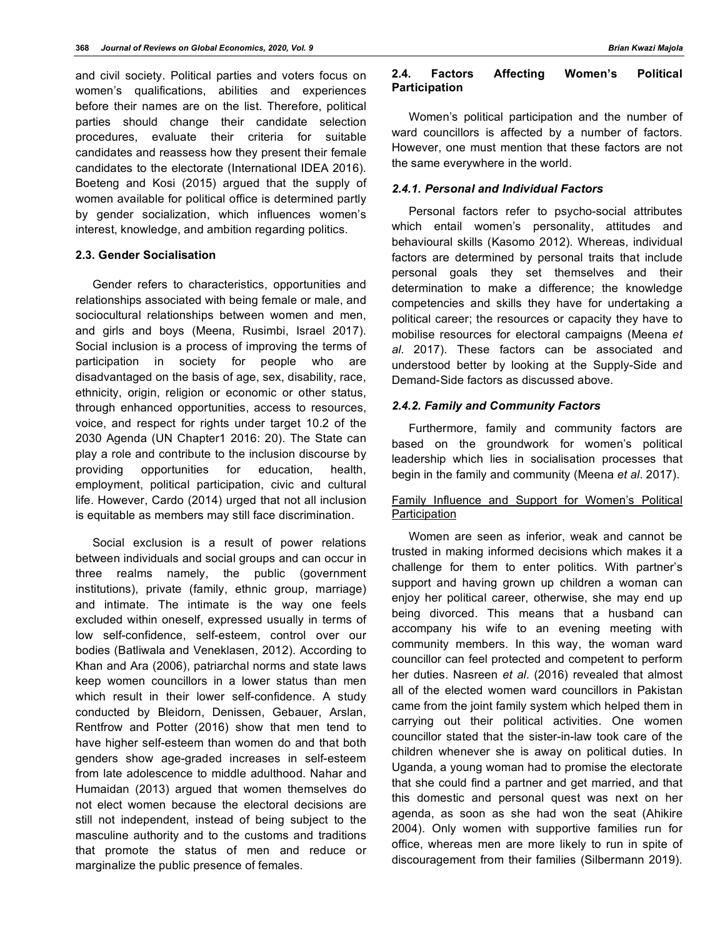and civil society. Political parties and voters focus on women's qualifications, abilities and experiences before their names are on the list. Therefore, political parties should change their candidate selection procedures, evaluate their criteria for suitable candidates and reassess how they present their female candidates to the electorate (International IDEA 2016). Boeteng and Kosi (2015) argued that the supply of women available for political office is determined partly by gender socialization, which influences women's interest, knowledge, and ambition regarding politics.

### **2.3. Gender Socialisation**

Gender refers to characteristics, opportunities and relationships associated with being female or male, and sociocultural relationships between women and men, and girls and boys (Meena, Rusimbi, Israel 2017). Social inclusion is a process of improving the terms of participation in society for people who are disadvantaged on the basis of age, sex, disability, race, ethnicity, origin, religion or economic or other status, through enhanced opportunities, access to resources, voice, and respect for rights under target 10.2 of the 2030 Agenda (UN Chapter1 2016: 20). The State can play a role and contribute to the inclusion discourse by providing opportunities for education, health, employment, political participation, civic and cultural life. However, Cardo (2014) urged that not all inclusion is equitable as members may still face discrimination.

Social exclusion is a result of power relations between individuals and social groups and can occur in three realms namely, the public (government institutions), private (family, ethnic group, marriage) and intimate. The intimate is the way one feels excluded within oneself, expressed usually in terms of low self-confidence, self-esteem, control over our bodies (Batliwala and Veneklasen, 2012). According to Khan and Ara (2006), patriarchal norms and state laws keep women councillors in a lower status than men which result in their lower self-confidence. A study conducted by Bleidorn, Denissen, Gebauer, Arslan, Rentfrow and Potter (2016) show that men tend to have higher self-esteem than women do and that both genders show age-graded increases in self-esteem from late adolescence to middle adulthood. Nahar and Humaidan (2013) argued that women themselves do not elect women because the electoral decisions are still not independent, instead of being subject to the masculine authority and to the customs and traditions that promote the status of men and reduce or marginalize the public presence of females.

### **2.4. Factors Affecting Women's Political Participation**

Women's political participation and the number of ward councillors is affected by a number of factors. However, one must mention that these factors are not the same everywhere in the world.

## *2.4.1. Personal and Individual Factors*

Personal factors refer to psycho-social attributes which entail women's personality, attitudes and behavioural skills (Kasomo 2012). Whereas, individual factors are determined by personal traits that include personal goals they set themselves and their determination to make a difference; the knowledge competencies and skills they have for undertaking a political career; the resources or capacity they have to mobilise resources for electoral campaigns (Meena *et al*. 2017). These factors can be associated and understood better by looking at the Supply-Side and Demand-Side factors as discussed above.

# *2.4.2. Family and Community Factors*

Furthermore, family and community factors are based on the groundwork for women's political leadership which lies in socialisation processes that begin in the family and community (Meena *et al*. 2017).

# Family Influence and Support for Women's Political **Participation**

Women are seen as inferior, weak and cannot be trusted in making informed decisions which makes it a challenge for them to enter politics. With partner's support and having grown up children a woman can enjoy her political career, otherwise, she may end up being divorced. This means that a husband can accompany his wife to an evening meeting with community members. In this way, the woman ward councillor can feel protected and competent to perform her duties. Nasreen *et al*. (2016) revealed that almost all of the elected women ward councillors in Pakistan came from the joint family system which helped them in carrying out their political activities. One women councillor stated that the sister-in-law took care of the children whenever she is away on political duties. In Uganda, a young woman had to promise the electorate that she could find a partner and get married, and that this domestic and personal quest was next on her agenda, as soon as she had won the seat (Ahikire 2004). Only women with supportive families run for office, whereas men are more likely to run in spite of discouragement from their families (Silbermann 2019).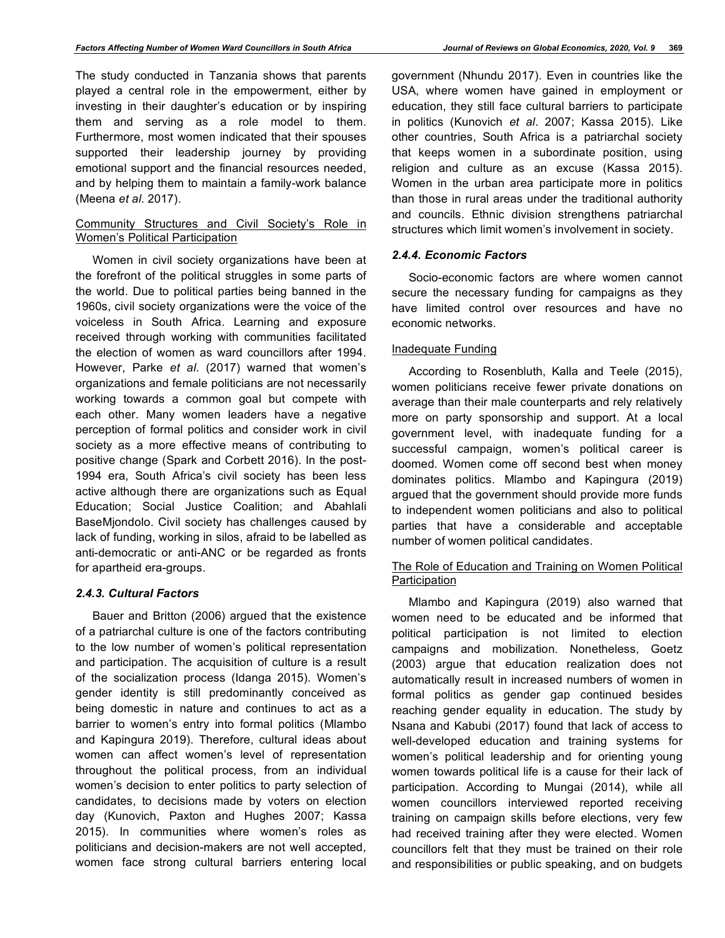The study conducted in Tanzania shows that parents played a central role in the empowerment, either by investing in their daughter's education or by inspiring them and serving as a role model to them. Furthermore, most women indicated that their spouses supported their leadership journey by providing emotional support and the financial resources needed, and by helping them to maintain a family-work balance (Meena *et al*. 2017).

# Community Structures and Civil Society's Role in Women's Political Participation

Women in civil society organizations have been at the forefront of the political struggles in some parts of the world. Due to political parties being banned in the 1960s, civil society organizations were the voice of the voiceless in South Africa. Learning and exposure received through working with communities facilitated the election of women as ward councillors after 1994. However, Parke *et al*. (2017) warned that women's organizations and female politicians are not necessarily working towards a common goal but compete with each other. Many women leaders have a negative perception of formal politics and consider work in civil society as a more effective means of contributing to positive change (Spark and Corbett 2016). In the post-1994 era, South Africa's civil society has been less active although there are organizations such as Equal Education; Social Justice Coalition; and Abahlali BaseMjondolo. Civil society has challenges caused by lack of funding, working in silos, afraid to be labelled as anti-democratic or anti-ANC or be regarded as fronts for apartheid era-groups.

# *2.4.3. Cultural Factors*

Bauer and Britton (2006) argued that the existence of a patriarchal culture is one of the factors contributing to the low number of women's political representation and participation. The acquisition of culture is a result of the socialization process (Idanga 2015). Women's gender identity is still predominantly conceived as being domestic in nature and continues to act as a barrier to women's entry into formal politics (Mlambo and Kapingura 2019). Therefore, cultural ideas about women can affect women's level of representation throughout the political process, from an individual women's decision to enter politics to party selection of candidates, to decisions made by voters on election day (Kunovich, Paxton and Hughes 2007; Kassa 2015). In communities where women's roles as politicians and decision-makers are not well accepted, women face strong cultural barriers entering local government (Nhundu 2017). Even in countries like the USA, where women have gained in employment or education, they still face cultural barriers to participate in politics (Kunovich *et al*. 2007; Kassa 2015). Like other countries, South Africa is a patriarchal society that keeps women in a subordinate position, using religion and culture as an excuse (Kassa 2015). Women in the urban area participate more in politics than those in rural areas under the traditional authority and councils. Ethnic division strengthens patriarchal structures which limit women's involvement in society.

# *2.4.4. Economic Factors*

Socio-economic factors are where women cannot secure the necessary funding for campaigns as they have limited control over resources and have no economic networks.

# Inadequate Funding

According to Rosenbluth, Kalla and Teele (2015), women politicians receive fewer private donations on average than their male counterparts and rely relatively more on party sponsorship and support. At a local government level, with inadequate funding for a successful campaign, women's political career is doomed. Women come off second best when money dominates politics. Mlambo and Kapingura (2019) argued that the government should provide more funds to independent women politicians and also to political parties that have a considerable and acceptable number of women political candidates.

# The Role of Education and Training on Women Political **Participation**

Mlambo and Kapingura (2019) also warned that women need to be educated and be informed that political participation is not limited to election campaigns and mobilization. Nonetheless, Goetz (2003) argue that education realization does not automatically result in increased numbers of women in formal politics as gender gap continued besides reaching gender equality in education. The study by Nsana and Kabubi (2017) found that lack of access to well-developed education and training systems for women's political leadership and for orienting young women towards political life is a cause for their lack of participation. According to Mungai (2014), while all women councillors interviewed reported receiving training on campaign skills before elections, very few had received training after they were elected. Women councillors felt that they must be trained on their role and responsibilities or public speaking, and on budgets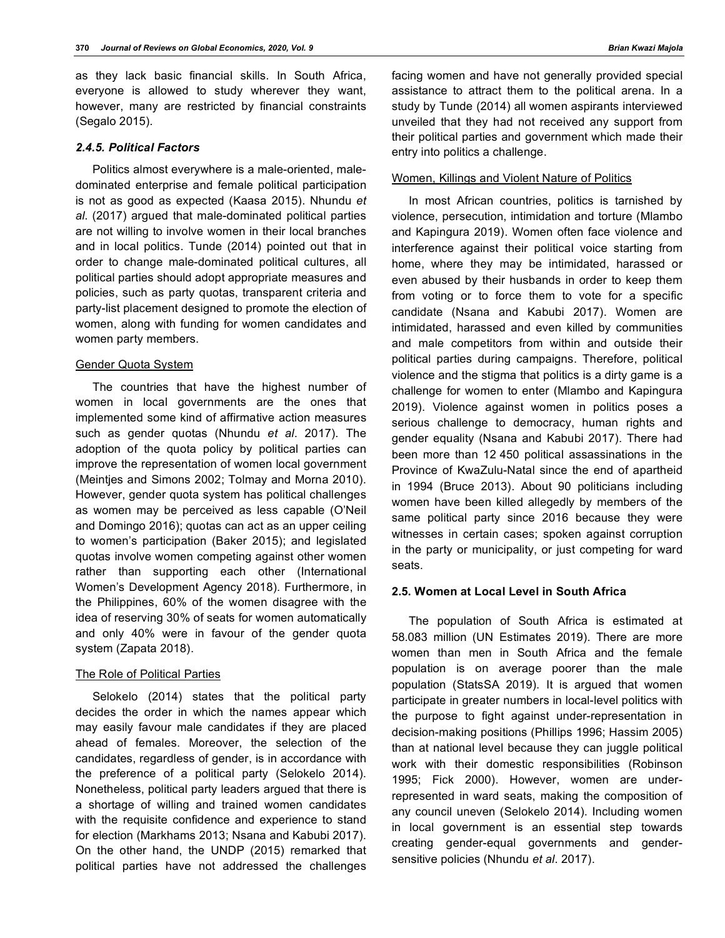as they lack basic financial skills. In South Africa, everyone is allowed to study wherever they want, however, many are restricted by financial constraints (Segalo 2015).

### *2.4.5. Political Factors*

Politics almost everywhere is a male-oriented, maledominated enterprise and female political participation is not as good as expected (Kaasa 2015). Nhundu *et al*. (2017) argued that male-dominated political parties are not willing to involve women in their local branches and in local politics. Tunde (2014) pointed out that in order to change male-dominated political cultures, all political parties should adopt appropriate measures and policies, such as party quotas, transparent criteria and party-list placement designed to promote the election of women, along with funding for women candidates and women party members.

### Gender Quota System

The countries that have the highest number of women in local governments are the ones that implemented some kind of affirmative action measures such as gender quotas (Nhundu *et al*. 2017). The adoption of the quota policy by political parties can improve the representation of women local government (Meintjes and Simons 2002; Tolmay and Morna 2010). However, gender quota system has political challenges as women may be perceived as less capable (O'Neil and Domingo 2016); quotas can act as an upper ceiling to women's participation (Baker 2015); and legislated quotas involve women competing against other women rather than supporting each other (International Women's Development Agency 2018). Furthermore, in the Philippines, 60% of the women disagree with the idea of reserving 30% of seats for women automatically and only 40% were in favour of the gender quota system (Zapata 2018).

#### The Role of Political Parties

Selokelo (2014) states that the political party decides the order in which the names appear which may easily favour male candidates if they are placed ahead of females. Moreover, the selection of the candidates, regardless of gender, is in accordance with the preference of a political party (Selokelo 2014). Nonetheless, political party leaders argued that there is a shortage of willing and trained women candidates with the requisite confidence and experience to stand for election (Markhams 2013; Nsana and Kabubi 2017). On the other hand, the UNDP (2015) remarked that political parties have not addressed the challenges

facing women and have not generally provided special assistance to attract them to the political arena. In a study by Tunde (2014) all women aspirants interviewed unveiled that they had not received any support from their political parties and government which made their entry into politics a challenge.

### Women, Killings and Violent Nature of Politics

In most African countries, politics is tarnished by violence, persecution, intimidation and torture (Mlambo and Kapingura 2019). Women often face violence and interference against their political voice starting from home, where they may be intimidated, harassed or even abused by their husbands in order to keep them from voting or to force them to vote for a specific candidate (Nsana and Kabubi 2017). Women are intimidated, harassed and even killed by communities and male competitors from within and outside their political parties during campaigns. Therefore, political violence and the stigma that politics is a dirty game is a challenge for women to enter (Mlambo and Kapingura 2019). Violence against women in politics poses a serious challenge to democracy, human rights and gender equality (Nsana and Kabubi 2017). There had been more than 12 450 political assassinations in the Province of KwaZulu-Natal since the end of apartheid in 1994 (Bruce 2013). About 90 politicians including women have been killed allegedly by members of the same political party since 2016 because they were witnesses in certain cases; spoken against corruption in the party or municipality, or just competing for ward seats.

#### **2.5. Women at Local Level in South Africa**

The population of South Africa is estimated at 58.083 million (UN Estimates 2019). There are more women than men in South Africa and the female population is on average poorer than the male population (StatsSA 2019). It is argued that women participate in greater numbers in local-level politics with the purpose to fight against under-representation in decision-making positions (Phillips 1996; Hassim 2005) than at national level because they can juggle political work with their domestic responsibilities (Robinson 1995; Fick 2000). However, women are underrepresented in ward seats, making the composition of any council uneven (Selokelo 2014). Including women in local government is an essential step towards creating gender-equal governments and gendersensitive policies (Nhundu *et al*. 2017).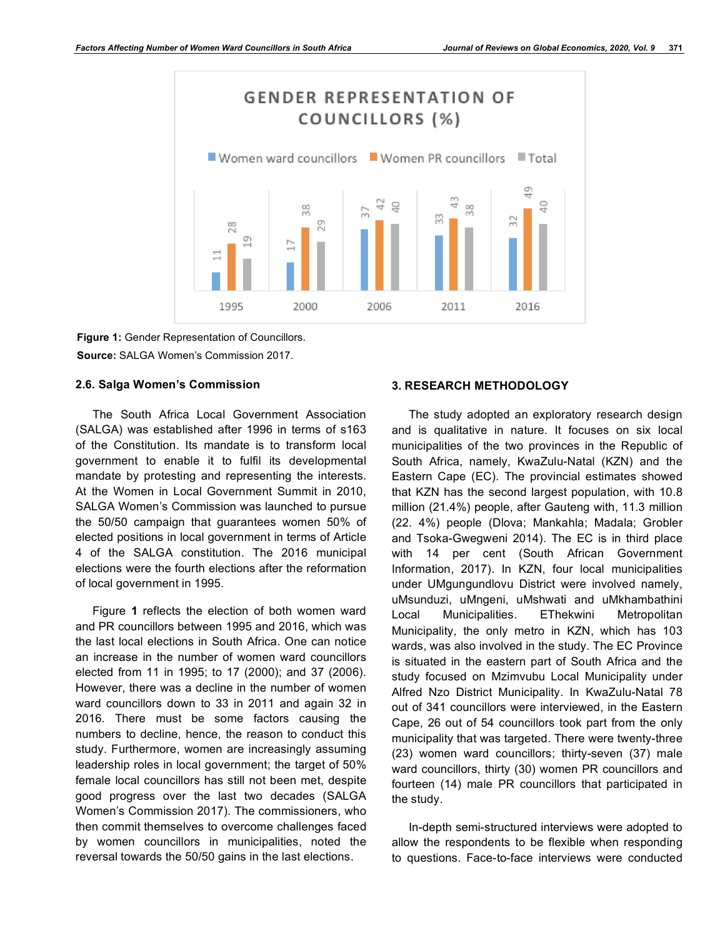

**Figure 1:** Gender Representation of Councillors. **Source:** SALGA Women's Commission 2017.

### **2.6. Salga Women's Commission**

The South Africa Local Government Association (SALGA) was established after 1996 in terms of s163 of the Constitution. Its mandate is to transform local government to enable it to fulfil its developmental mandate by protesting and representing the interests. At the Women in Local Government Summit in 2010, SALGA Women's Commission was launched to pursue the 50/50 campaign that guarantees women 50% of elected positions in local government in terms of Article 4 of the SALGA constitution. The 2016 municipal elections were the fourth elections after the reformation of local government in 1995.

Figure **1** reflects the election of both women ward and PR councillors between 1995 and 2016, which was the last local elections in South Africa. One can notice an increase in the number of women ward councillors elected from 11 in 1995; to 17 (2000); and 37 (2006). However, there was a decline in the number of women ward councillors down to 33 in 2011 and again 32 in 2016. There must be some factors causing the numbers to decline, hence, the reason to conduct this study. Furthermore, women are increasingly assuming leadership roles in local government; the target of 50% female local councillors has still not been met, despite good progress over the last two decades (SALGA Women's Commission 2017). The commissioners, who then commit themselves to overcome challenges faced by women councillors in municipalities, noted the reversal towards the 50/50 gains in the last elections.

# **3. RESEARCH METHODOLOGY**

The study adopted an exploratory research design and is qualitative in nature. It focuses on six local municipalities of the two provinces in the Republic of South Africa, namely, KwaZulu-Natal (KZN) and the Eastern Cape (EC). The provincial estimates showed that KZN has the second largest population, with 10.8 million (21.4%) people, after Gauteng with, 11.3 million (22. 4%) people (Dlova; Mankahla; Madala; Grobler and Tsoka-Gwegweni 2014). The EC is in third place with 14 per cent (South African Government Information, 2017). In KZN, four local municipalities under UMgungundlovu District were involved namely, uMsunduzi, uMngeni, uMshwati and uMkhambathini Local Municipalities. EThekwini Metropolitan Municipality, the only metro in KZN, which has 103 wards, was also involved in the study. The EC Province is situated in the eastern part of South Africa and the study focused on Mzimvubu Local Municipality under Alfred Nzo District Municipality. In KwaZulu-Natal 78 out of 341 councillors were interviewed, in the Eastern Cape, 26 out of 54 councillors took part from the only municipality that was targeted. There were twenty-three (23) women ward councillors; thirty-seven (37) male ward councillors, thirty (30) women PR councillors and fourteen (14) male PR councillors that participated in the study.

In-depth semi-structured interviews were adopted to allow the respondents to be flexible when responding to questions. Face-to-face interviews were conducted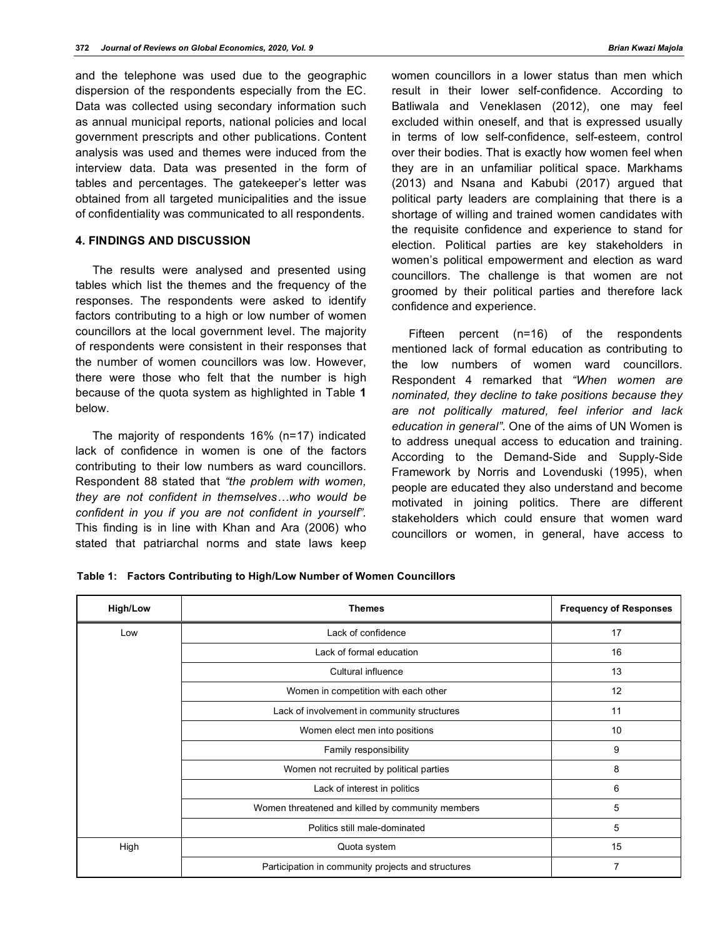and the telephone was used due to the geographic dispersion of the respondents especially from the EC. Data was collected using secondary information such as annual municipal reports, national policies and local government prescripts and other publications. Content analysis was used and themes were induced from the interview data. Data was presented in the form of tables and percentages. The gatekeeper's letter was obtained from all targeted municipalities and the issue of confidentiality was communicated to all respondents.

### **4. FINDINGS AND DISCUSSION**

The results were analysed and presented using tables which list the themes and the frequency of the responses. The respondents were asked to identify factors contributing to a high or low number of women councillors at the local government level. The majority of respondents were consistent in their responses that the number of women councillors was low. However, there were those who felt that the number is high because of the quota system as highlighted in Table **1** below.

The majority of respondents 16% (n=17) indicated lack of confidence in women is one of the factors contributing to their low numbers as ward councillors. Respondent 88 stated that *"the problem with women, they are not confident in themselves…who would be confident in you if you are not confident in yourself".* This finding is in line with Khan and Ara (2006) who stated that patriarchal norms and state laws keep

women councillors in a lower status than men which result in their lower self-confidence. According to Batliwala and Veneklasen (2012), one may feel excluded within oneself, and that is expressed usually in terms of low self-confidence, self-esteem, control over their bodies. That is exactly how women feel when they are in an unfamiliar political space. Markhams (2013) and Nsana and Kabubi (2017) argued that political party leaders are complaining that there is a shortage of willing and trained women candidates with the requisite confidence and experience to stand for election. Political parties are key stakeholders in women's political empowerment and election as ward councillors. The challenge is that women are not groomed by their political parties and therefore lack confidence and experience.

Fifteen percent (n=16) of the respondents mentioned lack of formal education as contributing to the low numbers of women ward councillors. Respondent 4 remarked that *"When women are nominated, they decline to take positions because they are not politically matured, feel inferior and lack education in general"*. One of the aims of UN Women is to address unequal access to education and training. According to the Demand-Side and Supply-Side Framework by Norris and Lovenduski (1995), when people are educated they also understand and become motivated in joining politics. There are different stakeholders which could ensure that women ward councillors or women, in general, have access to

| Table 1: Factors Contributing to High/Low Number of Women Councillors |  |  |  |  |
|-----------------------------------------------------------------------|--|--|--|--|
|-----------------------------------------------------------------------|--|--|--|--|

| <b>High/Low</b> | <b>Themes</b>                                      | <b>Frequency of Responses</b> |
|-----------------|----------------------------------------------------|-------------------------------|
| Low             | Lack of confidence                                 | 17                            |
|                 | Lack of formal education                           | 16                            |
|                 | Cultural influence                                 | 13                            |
|                 | Women in competition with each other               | 12                            |
|                 | Lack of involvement in community structures        | 11                            |
|                 | Women elect men into positions                     | 10                            |
|                 | Family responsibility                              | 9                             |
|                 | Women not recruited by political parties           | 8                             |
|                 | Lack of interest in politics                       | 6                             |
|                 | Women threatened and killed by community members   | 5                             |
|                 | Politics still male-dominated                      | 5                             |
| High            | Quota system                                       | 15                            |
|                 | Participation in community projects and structures | 7                             |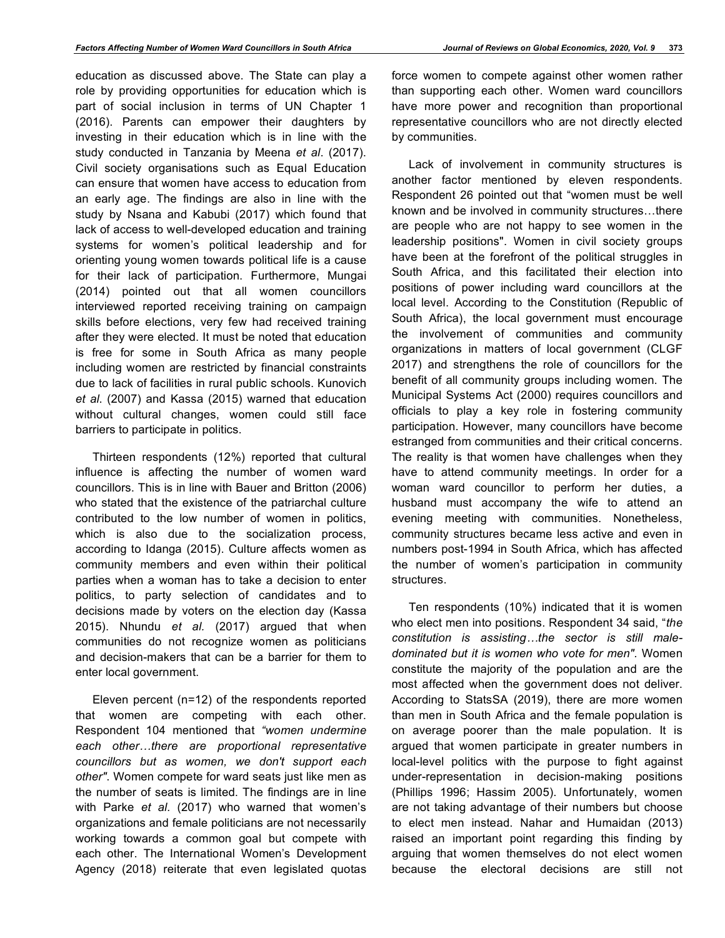education as discussed above. The State can play a role by providing opportunities for education which is part of social inclusion in terms of UN Chapter 1 (2016). Parents can empower their daughters by investing in their education which is in line with the study conducted in Tanzania by Meena *et al*. (2017). Civil society organisations such as Equal Education can ensure that women have access to education from an early age. The findings are also in line with the study by Nsana and Kabubi (2017) which found that lack of access to well-developed education and training systems for women's political leadership and for orienting young women towards political life is a cause for their lack of participation. Furthermore, Mungai (2014) pointed out that all women councillors interviewed reported receiving training on campaign skills before elections, very few had received training after they were elected. It must be noted that education is free for some in South Africa as many people including women are restricted by financial constraints due to lack of facilities in rural public schools. Kunovich *et al*. (2007) and Kassa (2015) warned that education without cultural changes, women could still face barriers to participate in politics.

Thirteen respondents (12%) reported that cultural influence is affecting the number of women ward councillors. This is in line with Bauer and Britton (2006) who stated that the existence of the patriarchal culture contributed to the low number of women in politics, which is also due to the socialization process, according to Idanga (2015). Culture affects women as community members and even within their political parties when a woman has to take a decision to enter politics, to party selection of candidates and to decisions made by voters on the election day (Kassa 2015). Nhundu *et al.* (2017) argued that when communities do not recognize women as politicians and decision-makers that can be a barrier for them to enter local government.

Eleven percent (n=12) of the respondents reported that women are competing with each other. Respondent 104 mentioned that *"women undermine each other…there are proportional representative councillors but as women, we don't support each other"*. Women compete for ward seats just like men as the number of seats is limited. The findings are in line with Parke *et al.* (2017) who warned that women's organizations and female politicians are not necessarily working towards a common goal but compete with each other. The International Women's Development Agency (2018) reiterate that even legislated quotas

force women to compete against other women rather than supporting each other. Women ward councillors have more power and recognition than proportional representative councillors who are not directly elected by communities.

Lack of involvement in community structures is another factor mentioned by eleven respondents. Respondent 26 pointed out that "women must be well known and be involved in community structures…there are people who are not happy to see women in the leadership positions". Women in civil society groups have been at the forefront of the political struggles in South Africa, and this facilitated their election into positions of power including ward councillors at the local level. According to the Constitution (Republic of South Africa), the local government must encourage the involvement of communities and community organizations in matters of local government (CLGF 2017) and strengthens the role of councillors for the benefit of all community groups including women. The Municipal Systems Act (2000) requires councillors and officials to play a key role in fostering community participation. However, many councillors have become estranged from communities and their critical concerns. The reality is that women have challenges when they have to attend community meetings. In order for a woman ward councillor to perform her duties, a husband must accompany the wife to attend an evening meeting with communities. Nonetheless, community structures became less active and even in numbers post-1994 in South Africa, which has affected the number of women's participation in community structures.

Ten respondents (10%) indicated that it is women who elect men into positions. Respondent 34 said, "*the constitution is assisting…the sector is still maledominated but it is women who vote for men".* Women constitute the majority of the population and are the most affected when the government does not deliver. According to StatsSA (2019), there are more women than men in South Africa and the female population is on average poorer than the male population. It is argued that women participate in greater numbers in local-level politics with the purpose to fight against under-representation in decision-making positions (Phillips 1996; Hassim 2005). Unfortunately, women are not taking advantage of their numbers but choose to elect men instead. Nahar and Humaidan (2013) raised an important point regarding this finding by arguing that women themselves do not elect women because the electoral decisions are still not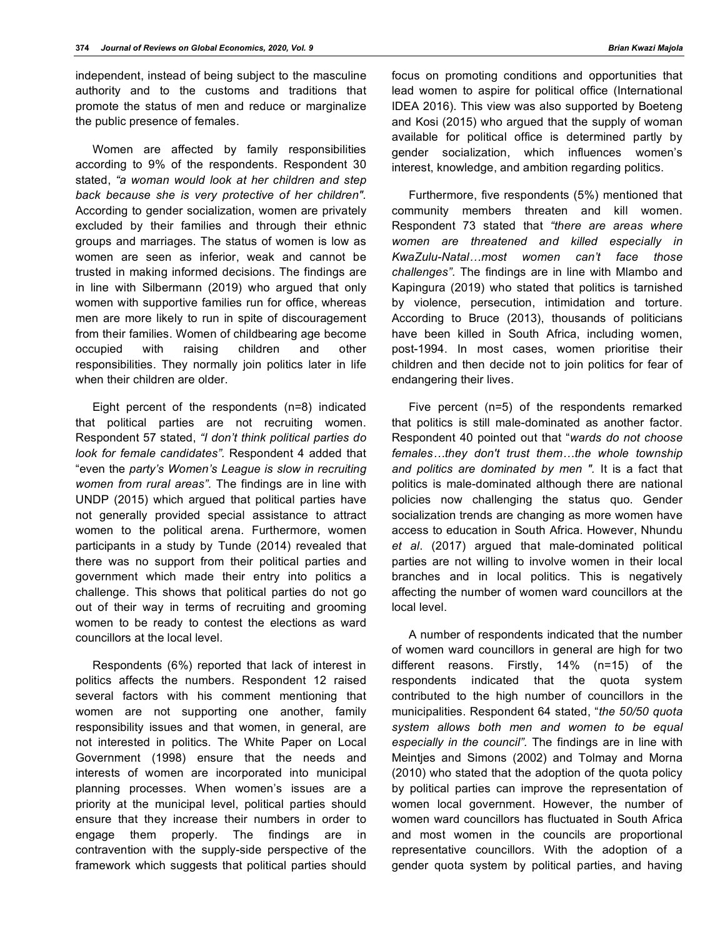independent, instead of being subject to the masculine authority and to the customs and traditions that promote the status of men and reduce or marginalize the public presence of females.

Women are affected by family responsibilities according to 9% of the respondents. Respondent 30 stated, *"a woman would look at her children and step back because she is very protective of her children".* According to gender socialization, women are privately excluded by their families and through their ethnic groups and marriages. The status of women is low as women are seen as inferior, weak and cannot be trusted in making informed decisions. The findings are in line with Silbermann (2019) who argued that only women with supportive families run for office, whereas men are more likely to run in spite of discouragement from their families. Women of childbearing age become occupied with raising children and other responsibilities. They normally join politics later in life when their children are older.

Eight percent of the respondents (n=8) indicated that political parties are not recruiting women. Respondent 57 stated, *"I don't think political parties do look for female candidates".* Respondent 4 added that "even the *party's Women's League is slow in recruiting women from rural areas".* The findings are in line with UNDP (2015) which argued that political parties have not generally provided special assistance to attract women to the political arena. Furthermore, women participants in a study by Tunde (2014) revealed that there was no support from their political parties and government which made their entry into politics a challenge. This shows that political parties do not go out of their way in terms of recruiting and grooming women to be ready to contest the elections as ward councillors at the local level.

Respondents (6%) reported that lack of interest in politics affects the numbers. Respondent 12 raised several factors with his comment mentioning that women are not supporting one another, family responsibility issues and that women, in general, are not interested in politics. The White Paper on Local Government (1998) ensure that the needs and interests of women are incorporated into municipal planning processes. When women's issues are a priority at the municipal level, political parties should ensure that they increase their numbers in order to engage them properly. The findings are in contravention with the supply-side perspective of the framework which suggests that political parties should

focus on promoting conditions and opportunities that lead women to aspire for political office (International IDEA 2016). This view was also supported by Boeteng and Kosi (2015) who argued that the supply of woman available for political office is determined partly by gender socialization, which influences women's interest, knowledge, and ambition regarding politics.

Furthermore, five respondents (5%) mentioned that community members threaten and kill women. Respondent 73 stated that *"there are areas where women are threatened and killed especially in KwaZulu-Natal…most women can't face those challenges".* The findings are in line with Mlambo and Kapingura (2019) who stated that politics is tarnished by violence, persecution, intimidation and torture. According to Bruce (2013), thousands of politicians have been killed in South Africa, including women, post-1994. In most cases, women prioritise their children and then decide not to join politics for fear of endangering their lives.

Five percent (n=5) of the respondents remarked that politics is still male-dominated as another factor. Respondent 40 pointed out that "*wards do not choose females…they don't trust them…the whole township and politics are dominated by men ".* It is a fact that politics is male-dominated although there are national policies now challenging the status quo. Gender socialization trends are changing as more women have access to education in South Africa. However, Nhundu *et al*. (2017) argued that male-dominated political parties are not willing to involve women in their local branches and in local politics. This is negatively affecting the number of women ward councillors at the local level.

A number of respondents indicated that the number of women ward councillors in general are high for two different reasons. Firstly, 14% (n=15) of the respondents indicated that the quota system contributed to the high number of councillors in the municipalities. Respondent 64 stated, "*the 50/50 quota system allows both men and women to be equal especially in the council".* The findings are in line with Meintjes and Simons (2002) and Tolmay and Morna (2010) who stated that the adoption of the quota policy by political parties can improve the representation of women local government. However, the number of women ward councillors has fluctuated in South Africa and most women in the councils are proportional representative councillors. With the adoption of a gender quota system by political parties, and having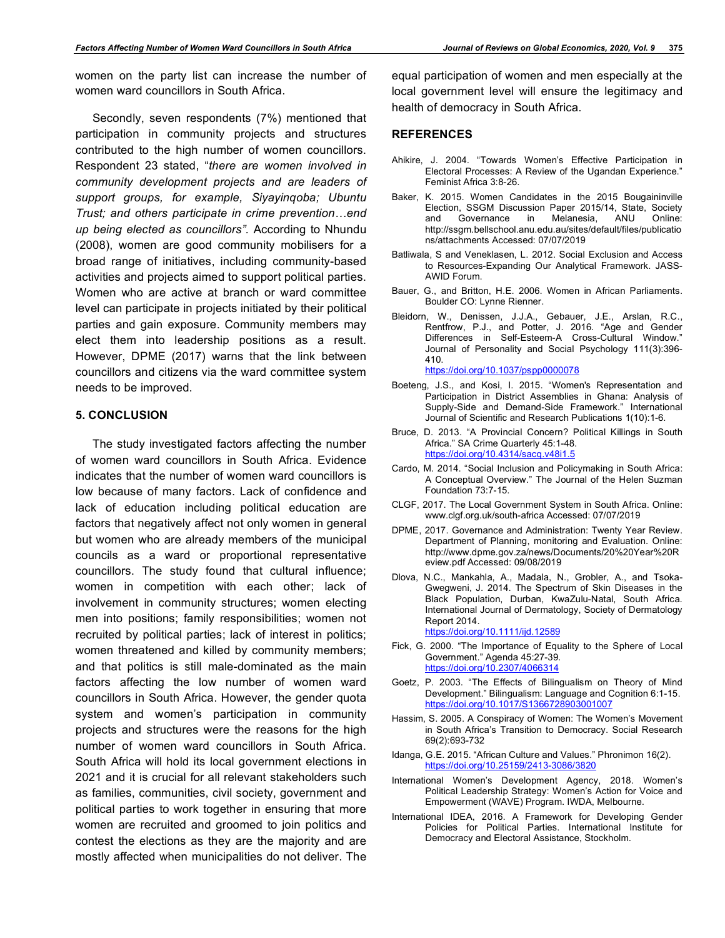women on the party list can increase the number of women ward councillors in South Africa.

Secondly, seven respondents (7%) mentioned that participation in community projects and structures contributed to the high number of women councillors. Respondent 23 stated, "*there are women involved in community development projects and are leaders of support groups, for example, Siyayinqoba; Ubuntu Trust; and others participate in crime prevention…end up being elected as councillors".* According to Nhundu (2008), women are good community mobilisers for a broad range of initiatives, including community-based activities and projects aimed to support political parties. Women who are active at branch or ward committee level can participate in projects initiated by their political parties and gain exposure. Community members may elect them into leadership positions as a result. However, DPME (2017) warns that the link between councillors and citizens via the ward committee system needs to be improved.

### **5. CONCLUSION**

The study investigated factors affecting the number of women ward councillors in South Africa. Evidence indicates that the number of women ward councillors is low because of many factors. Lack of confidence and lack of education including political education are factors that negatively affect not only women in general but women who are already members of the municipal councils as a ward or proportional representative councillors. The study found that cultural influence; women in competition with each other; lack of involvement in community structures; women electing men into positions; family responsibilities; women not recruited by political parties; lack of interest in politics; women threatened and killed by community members; and that politics is still male-dominated as the main factors affecting the low number of women ward councillors in South Africa. However, the gender quota system and women's participation in community projects and structures were the reasons for the high number of women ward councillors in South Africa. South Africa will hold its local government elections in 2021 and it is crucial for all relevant stakeholders such as families, communities, civil society, government and political parties to work together in ensuring that more women are recruited and groomed to join politics and contest the elections as they are the majority and are mostly affected when municipalities do not deliver. The

equal participation of women and men especially at the local government level will ensure the legitimacy and health of democracy in South Africa.

### **REFERENCES**

- Ahikire, J. 2004. "Towards Women's Effective Participation in Electoral Processes: A Review of the Ugandan Experience." Feminist Africa 3:8-26.
- Baker, K. 2015. Women Candidates in the 2015 Bougaininville Election, SSGM Discussion Paper 2015/14, State, Society and Governance in Melanesia, ANU Online: http://ssgm.bellschool.anu.edu.au/sites/default/files/publicatio ns/attachments Accessed: 07/07/2019
- Batliwala, S and Veneklasen, L. 2012. Social Exclusion and Access to Resources-Expanding Our Analytical Framework. JASS-AWID Forum.
- Bauer, G., and Britton, H.E. 2006. Women in African Parliaments. Boulder CO: Lynne Rienner.
- Bleidorn, W., Denissen, J.J.A., Gebauer, J.E., Arslan, R.C., Rentfrow, P.J., and Potter, J. 2016. "Age and Gender Differences in Self-Esteem-A Cross-Cultural Window." Journal of Personality and Social Psychology 111(3):396- 410. https://doi.org/10.1037/pspp0000078
- Boeteng, J.S., and Kosi, I. 2015. "Women's Representation and Participation in District Assemblies in Ghana: Analysis of Supply-Side and Demand-Side Framework." International Journal of Scientific and Research Publications 1(10):1-6.
- Bruce, D. 2013. "A Provincial Concern? Political Killings in South Africa." SA Crime Quarterly 45:1-48. https://doi.org/10.4314/sacq.v48i1.5
- Cardo, M. 2014. "Social Inclusion and Policymaking in South Africa: A Conceptual Overview." The Journal of the Helen Suzman Foundation 73:7-15.
- CLGF, 2017. The Local Government System in South Africa. Online: www.clgf.org.uk/south-africa Accessed: 07/07/2019
- DPME, 2017. Governance and Administration: Twenty Year Review. Department of Planning, monitoring and Evaluation. Online: http://www.dpme.gov.za/news/Documents/20%20Year%20R eview.pdf Accessed: 09/08/2019
- Dlova, N.C., Mankahla, A., Madala, N., Grobler, A., and Tsoka-Gwegweni, J. 2014. The Spectrum of Skin Diseases in the Black Population, Durban, KwaZulu-Natal, South Africa. International Journal of Dermatology, Society of Dermatology Report 2014.

https://doi.org/10.1111/ijd.12589

- Fick, G. 2000. "The Importance of Equality to the Sphere of Local Government." Agenda 45:27-39. https://doi.org/10.2307/4066314
- Goetz, P. 2003. "The Effects of Bilingualism on Theory of Mind Development." Bilingualism: Language and Cognition 6:1-15. https://doi.org/10.1017/S1366728903001007
- Hassim, S. 2005. A Conspiracy of Women: The Women's Movement in South Africa's Transition to Democracy. Social Research 69(2):693-732
- Idanga, G.E. 2015. "African Culture and Values." Phronimon 16(2). https://doi.org/10.25159/2413-3086/3820
- International Women's Development Agency, 2018. Women's Political Leadership Strategy: Women's Action for Voice and Empowerment (WAVE) Program. IWDA, Melbourne.
- International IDEA, 2016. A Framework for Developing Gender Policies for Political Parties. International Institute for Democracy and Electoral Assistance, Stockholm.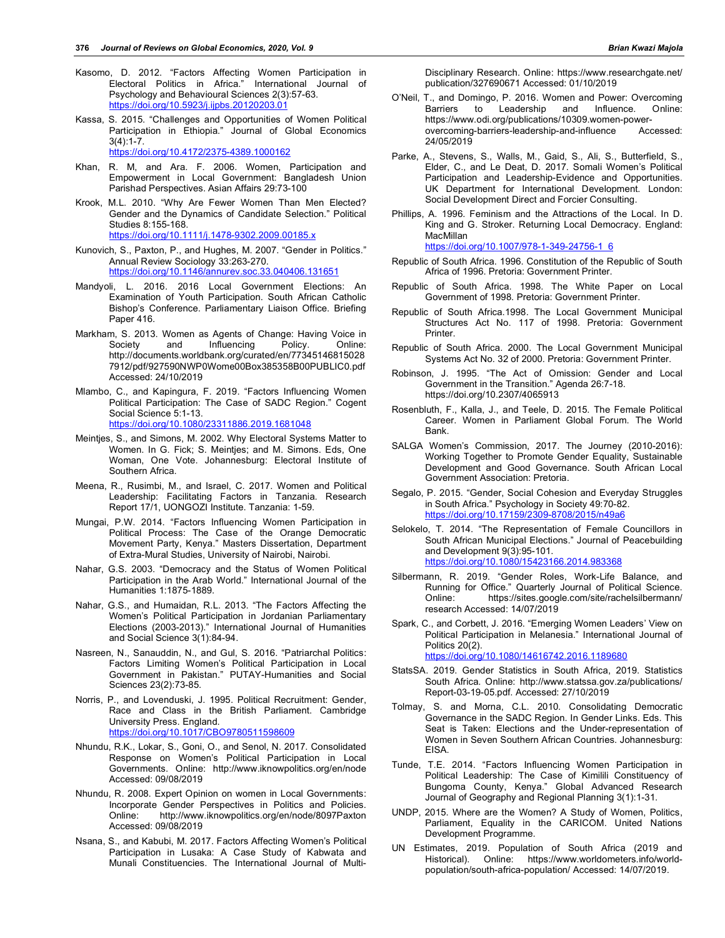- Kasomo, D. 2012. "Factors Affecting Women Participation in Electoral Politics in Africa." International Journal of Psychology and Behavioural Sciences 2(3):57-63. https://doi.org/10.5923/j.ijpbs.20120203.01
- Kassa, S. 2015. "Challenges and Opportunities of Women Political Participation in Ethiopia." Journal of Global Economics  $3(4) \cdot 1 - 7$ https://doi.org/10.4172/2375-4389.1000162
- Khan, R. M, and Ara. F. 2006. Women, Participation and Empowerment in Local Government: Bangladesh Union Parishad Perspectives. Asian Affairs 29:73-100
- Krook, M.L. 2010. "Why Are Fewer Women Than Men Elected? Gender and the Dynamics of Candidate Selection." Political Studies 8:155-168. https://doi.org/10.1111/j.1478-9302.2009.00185.x
- Kunovich, S., Paxton, P., and Hughes, M. 2007. "Gender in Politics." Annual Review Sociology 33:263-270. https://doi.org/10.1146/annurev.soc.33.040406.131651
- Mandyoli, L. 2016. 2016 Local Government Elections: An Examination of Youth Participation. South African Catholic Bishop's Conference. Parliamentary Liaison Office. Briefing Paper 416.
- Markham, S. 2013. Women as Agents of Change: Having Voice in Society and Influencing Policy. Online: http://documents.worldbank.org/curated/en/77345146815028 7912/pdf/927590NWP0Wome00Box385358B00PUBLIC0.pdf Accessed: 24/10/2019
- Mlambo, C., and Kapingura, F. 2019. "Factors Influencing Women Political Participation: The Case of SADC Region." Cogent Social Science 5:1-13. https://doi.org/10.1080/23311886.2019.1681048
- Meintjes, S., and Simons, M. 2002. Why Electoral Systems Matter to Women. In G. Fick; S. Meintjes; and M. Simons. Eds, One Woman, One Vote. Johannesburg: Electoral Institute of Southern Africa.
- Meena, R., Rusimbi, M., and Israel, C. 2017. Women and Political Leadership: Facilitating Factors in Tanzania. Research Report 17/1, UONGOZI Institute. Tanzania: 1-59.
- Mungai, P.W. 2014. "Factors Influencing Women Participation in Political Process: The Case of the Orange Democratic Movement Party, Kenya." Masters Dissertation, Department of Extra-Mural Studies, University of Nairobi, Nairobi.
- Nahar, G.S. 2003. "Democracy and the Status of Women Political Participation in the Arab World." International Journal of the Humanities 1:1875-1889.
- Nahar, G.S., and Humaidan, R.L. 2013. "The Factors Affecting the Women's Political Participation in Jordanian Parliamentary Elections (2003-2013)." International Journal of Humanities and Social Science 3(1):84-94.
- Nasreen, N., Sanauddin, N., and Gul, S. 2016. "Patriarchal Politics: Factors Limiting Women's Political Participation in Local Government in Pakistan." PUTAY-Humanities and Social Sciences 23(2):73-85.
- Norris, P., and Lovenduski, J. 1995. Political Recruitment: Gender, Race and Class in the British Parliament. Cambridge University Press. England. https://doi.org/10.1017/CBO9780511598609
- Nhundu, R.K., Lokar, S., Goni, O., and Senol, N. 2017. Consolidated Response on Women's Political Participation in Local Governments. Online: http://www.iknowpolitics.org/en/node Accessed: 09/08/2019
- Nhundu, R. 2008. Expert Opinion on women in Local Governments: Incorporate Gender Perspectives in Politics and Policies. Online: http://www.iknowpolitics.org/en/node/8097Paxton Accessed: 09/08/2019
- Nsana, S., and Kabubi, M. 2017. Factors Affecting Women's Political Participation in Lusaka: A Case Study of Kabwata and Munali Constituencies. The International Journal of Multi-

Disciplinary Research. Online: https://www.researchgate.net/ publication/327690671 Accessed: 01/10/2019

- O'Neil, T., and Domingo, P. 2016. Women and Power: Overcoming Barriers to Leadership and Influence. Online: https://www.odi.org/publications/10309.women-powerovercoming-barriers-leadership-and-influence Accessed: 24/05/2019
- Parke, A., Stevens, S., Walls, M., Gaid, S., Ali, S., Butterfield, S., Elder, C., and Le Deat, D. 2017. Somali Women's Political Participation and Leadership-Evidence and Opportunities. UK Department for International Development. London: Social Development Direct and Forcier Consulting.
- Phillips, A. 1996. Feminism and the Attractions of the Local. In D. King and G. Stroker. Returning Local Democracy. England: MacMillan https://doi.org/10.1007/978-1-349-24756-1\_6
	-
- Republic of South Africa. 1996. Constitution of the Republic of South Africa of 1996. Pretoria: Government Printer.
- Republic of South Africa. 1998. The White Paper on Local Government of 1998. Pretoria: Government Printer.
- Republic of South Africa.1998. The Local Government Municipal Structures Act No. 117 of 1998. Pretoria: Government Printer.
- Republic of South Africa. 2000. The Local Government Municipal Systems Act No. 32 of 2000. Pretoria: Government Printer.
- Robinson, J. 1995. "The Act of Omission: Gender and Local Government in the Transition." Agenda 26:7-18. https://doi.org/10.2307/4065913
- Rosenbluth, F., Kalla, J., and Teele, D. 2015. The Female Political Career. Women in Parliament Global Forum. The World Bank.
- SALGA Women's Commission, 2017. The Journey (2010-2016): Working Together to Promote Gender Equality, Sustainable Development and Good Governance. South African Local Government Association: Pretoria.
- Segalo, P. 2015. "Gender, Social Cohesion and Everyday Struggles in South Africa." Psychology in Society 49:70-82. https://doi.org/10.17159/2309-8708/2015/n49a6
- Selokelo, T. 2014. "The Representation of Female Councillors in South African Municipal Elections." Journal of Peacebuilding and Development 9(3):95-101. https://doi.org/10.1080/15423166.2014.983368
- Silbermann, R. 2019. "Gender Roles, Work-Life Balance, and Running for Office." Quarterly Journal of Political Science. Online: https://sites.google.com/site/rachelsilbermann/ research Accessed: 14/07/2019
- Spark, C., and Corbett, J. 2016. "Emerging Women Leaders' View on Political Participation in Melanesia." International Journal of Politics 20(2). https://doi.org/10.1080/14616742.2016.1189680
- StatsSA. 2019. Gender Statistics in South Africa, 2019. Statistics South Africa. Online: http://www.statssa.gov.za/publications/ Report-03-19-05.pdf. Accessed: 27/10/2019
- Tolmay, S. and Morna, C.L. 2010. Consolidating Democratic Governance in the SADC Region. In Gender Links. Eds. This Seat is Taken: Elections and the Under-representation of Women in Seven Southern African Countries. Johannesburg: EISA.
- Tunde, T.E. 2014. "Factors Influencing Women Participation in Political Leadership: The Case of Kimilili Constituency of Bungoma County, Kenya." Global Advanced Research Journal of Geography and Regional Planning 3(1):1-31.
- UNDP, 2015. Where are the Women? A Study of Women, Politics, Parliament, Equality in the CARICOM. United Nations Development Programme.
- UN Estimates, 2019. Population of South Africa (2019 and Historical). Online: https://www.worldometers.info/worldpopulation/south-africa-population/ Accessed: 14/07/2019.